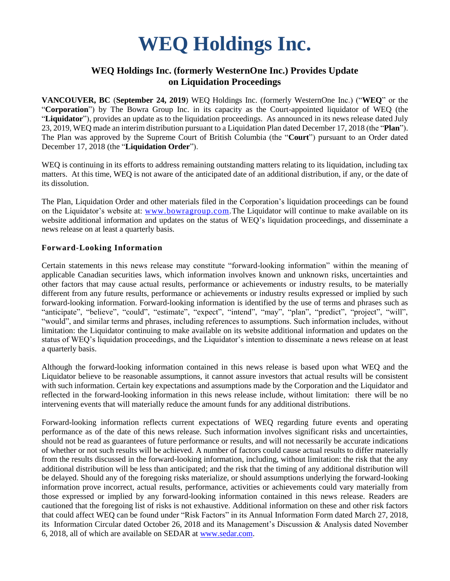# **WEQ Holdings Inc.**

# **WEQ Holdings Inc. (formerly WesternOne Inc.) Provides Update on Liquidation Proceedings**

**VANCOUVER, BC** (**September 24, 2019**) WEQ Holdings Inc. (formerly WesternOne Inc.) ("**WEQ**" or the "**Corporation**") by The Bowra Group Inc. in its capacity as the Court-appointed liquidator of WEQ (the "**Liquidator**"), provides an update as to the liquidation proceedings. As announced in its news release dated July 23, 2019, WEQ made an interim distribution pursuant to a Liquidation Plan dated December 17, 2018 (the "**Plan**"). The Plan was approved by the Supreme Court of British Columbia (the "**Court**") pursuant to an Order dated December 17, 2018 (the "**Liquidation Order**").

WEQ is continuing in its efforts to address remaining outstanding matters relating to its liquidation, including tax matters. At this time, WEQ is not aware of the anticipated date of an additional distribution, if any, or the date of its dissolution.

The Plan, Liquidation Order and other materials filed in the Corporation's liquidation proceedings can be found on the Liquidator's website at: [www.bowragroup.com.](http://www.bowragroup.com/)The Liquidator will continue to make available on its website additional information and updates on the status of WEQ's liquidation proceedings, and disseminate a news release on at least a quarterly basis.

## **Forward-Looking Information**

Certain statements in this news release may constitute "forward-looking information" within the meaning of applicable Canadian securities laws, which information involves known and unknown risks, uncertainties and other factors that may cause actual results, performance or achievements or industry results, to be materially different from any future results, performance or achievements or industry results expressed or implied by such forward-looking information. Forward-looking information is identified by the use of terms and phrases such as "anticipate", "believe", "could", "estimate", "expect", "intend", "may", "plan", "predict", "project", "will", "would", and similar terms and phrases, including references to assumptions. Such information includes, without limitation: the Liquidator continuing to make available on its website additional information and updates on the status of WEQ's liquidation proceedings, and the Liquidator's intention to disseminate a news release on at least a quarterly basis.

Although the forward-looking information contained in this news release is based upon what WEQ and the Liquidator believe to be reasonable assumptions, it cannot assure investors that actual results will be consistent with such information. Certain key expectations and assumptions made by the Corporation and the Liquidator and reflected in the forward-looking information in this news release include, without limitation: there will be no intervening events that will materially reduce the amount funds for any additional distributions.

Forward-looking information reflects current expectations of WEQ regarding future events and operating performance as of the date of this news release. Such information involves significant risks and uncertainties, should not be read as guarantees of future performance or results, and will not necessarily be accurate indications of whether or not such results will be achieved. A number of factors could cause actual results to differ materially from the results discussed in the forward-looking information, including, without limitation: the risk that the any additional distribution will be less than anticipated; and the risk that the timing of any additional distribution will be delayed. Should any of the foregoing risks materialize, or should assumptions underlying the forward-looking information prove incorrect, actual results, performance, activities or achievements could vary materially from those expressed or implied by any forward-looking information contained in this news release. Readers are cautioned that the foregoing list of risks is not exhaustive. Additional information on these and other risk factors that could affect WEQ can be found under "Risk Factors" in its Annual Information Form dated March 27, 2018, its Information Circular dated October 26, 2018 and its Management's Discussion & Analysis dated November 6, 2018, all of which are available on SEDAR at [www.sedar.com.](http://www.sedar.com/)